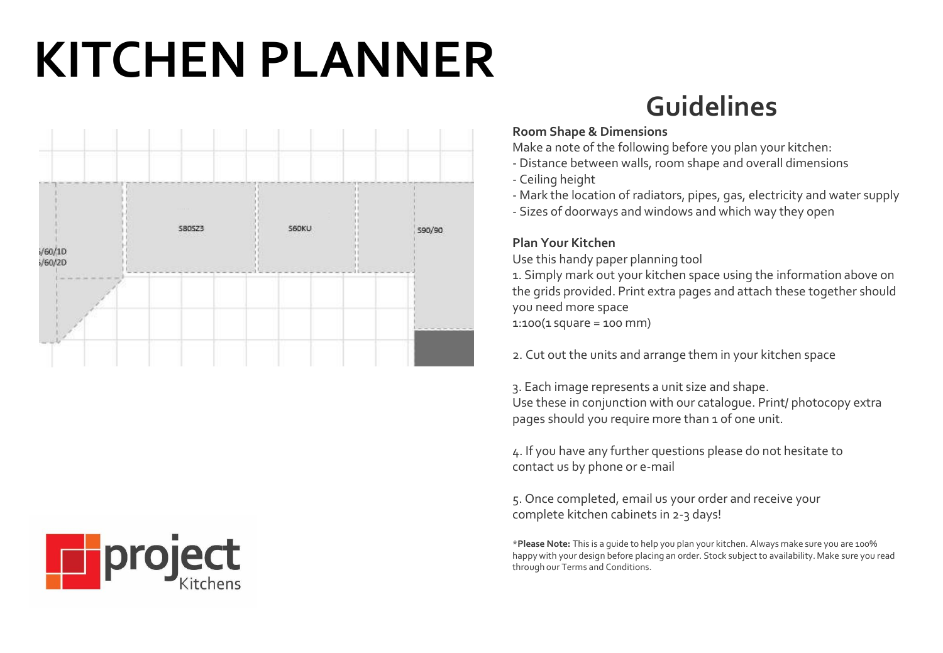# **KITCHEN PLANNER**

## **Guidelines**

#### **Room Shape & Dimensions**

Make a note of the following before you plan your kitchen:

- Distance between walls, room shape and overall dimensions
- Ceiling height
- Mark the location of radiators, pipes, gas, electricity and water supply
- Sizes of doorways and windows and which way they open

### **Plan Your Kitchen**

Use this handy paper planning tool 1. Simply mark out your kitchen space using the information above on the grids provided. Print extra pages and attach these together should you need more space

1:100(1 square = 100 mm)

2. Cut out the units and arrange them in your kitchen space

3. Each image represents a unit size and shape. Use these in conjunction with our catalogue. Print/ photocopy extra pages should you require more than 1 of one unit.

4. If you have any further questions please do not hesitate to contact us by phone or e-mail

5. Once completed, email us your order and receive your complete kitchen cabinets in 2-3 days!

\***Please Note:** This is a guide to help you plan your kitchen. Always make sure you are 100% happy with your design before placing an order. Stock subject to availability. Make sure you read through our Terms and Conditions.

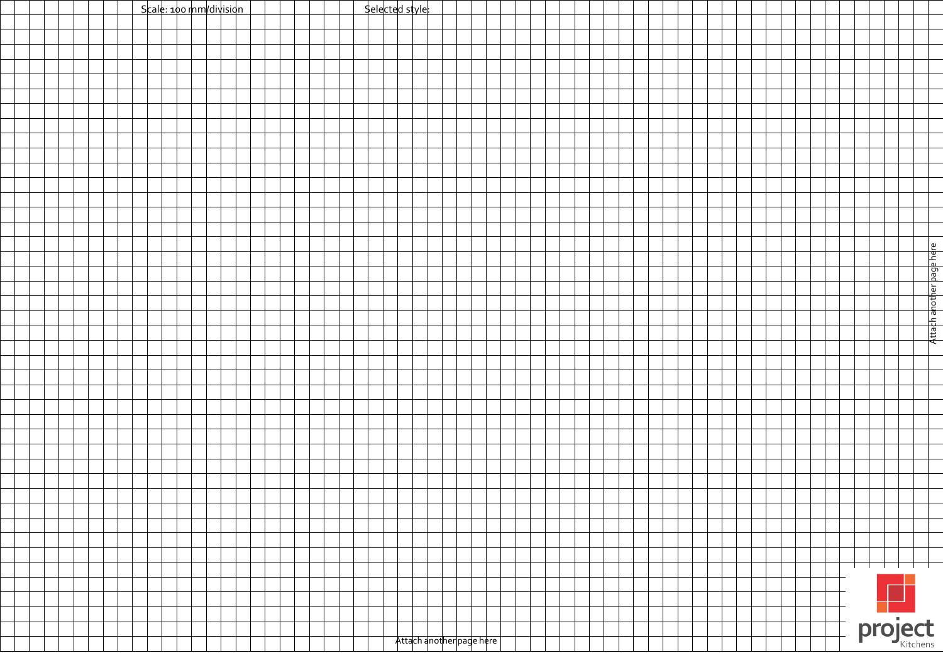| Scale: 100 mm/division | <u>Selected style</u>    |  |
|------------------------|--------------------------|--|
|                        |                          |  |
|                        |                          |  |
|                        |                          |  |
|                        |                          |  |
|                        |                          |  |
|                        |                          |  |
|                        |                          |  |
|                        |                          |  |
|                        |                          |  |
|                        |                          |  |
|                        |                          |  |
|                        |                          |  |
|                        |                          |  |
|                        |                          |  |
|                        |                          |  |
|                        |                          |  |
|                        |                          |  |
|                        |                          |  |
|                        |                          |  |
|                        |                          |  |
|                        |                          |  |
|                        | Attach another page here |  |
|                        |                          |  |
|                        |                          |  |
|                        |                          |  |
|                        |                          |  |
|                        |                          |  |
|                        |                          |  |
|                        |                          |  |
|                        |                          |  |
|                        |                          |  |
|                        |                          |  |
|                        |                          |  |
|                        |                          |  |
|                        |                          |  |
|                        |                          |  |
|                        |                          |  |
|                        |                          |  |
|                        | $\Box$ l $\Box$ l $\Box$ |  |
|                        |                          |  |
|                        |                          |  |
|                        |                          |  |
|                        | project                  |  |
|                        | Attach another page here |  |
|                        |                          |  |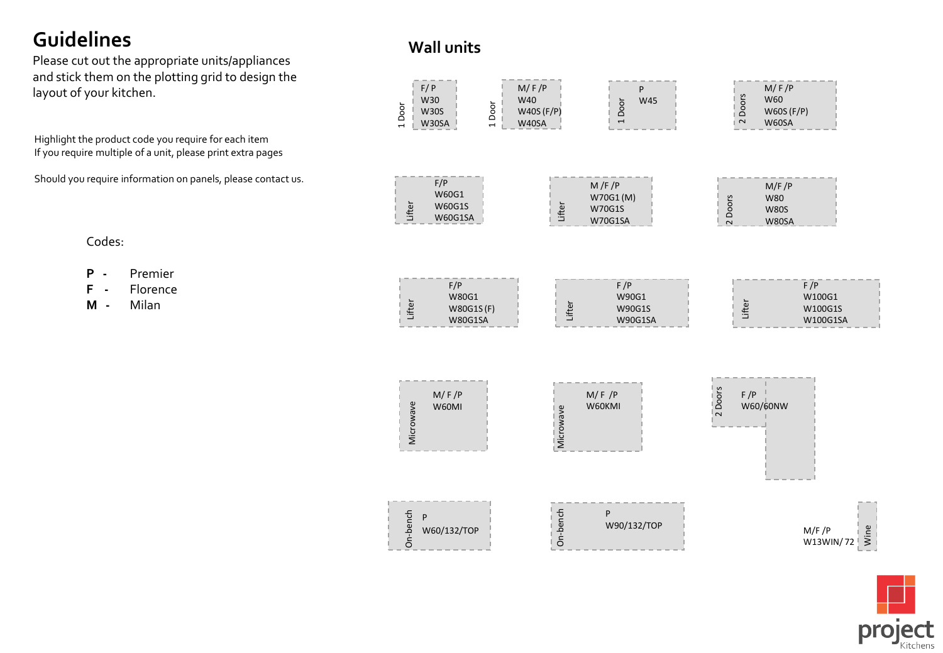## **Guidelines**

Please cut out the appropriate units/appliances and stick them on the plotting grid to design the layout of your kitchen.

Highlight the product code you require for each item If you require multiple of a unit, please print extra pages

Should you require information on panels, please contact us.

**Wall units**





project

## Codes:

- **P** Premier
- **F** Florence
- **M** Milan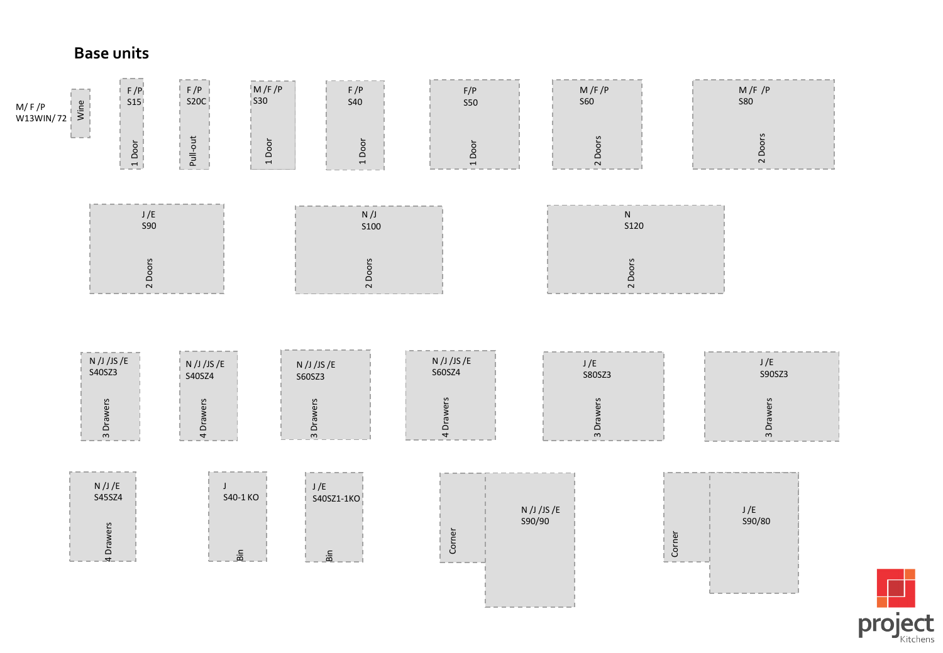## **Base units**